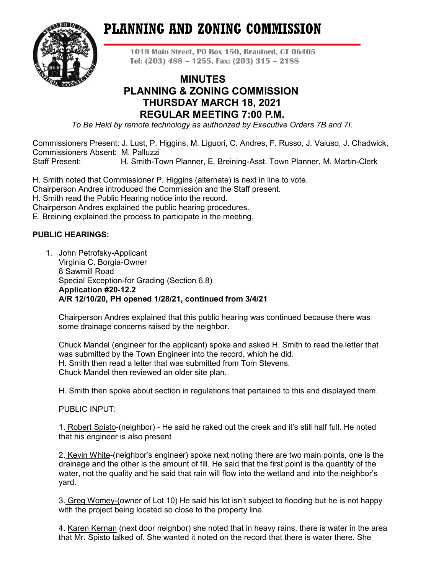# **PLANNING AND ZONING COMMISSION**



**1019 Main Street, PO Box 150, Branford, CT 06405 Tel: (203) 488 – 1255, Fax: (203) 315 – 2188**

# **MINUTES PLANNING & ZONING COMMISSION THURSDAY MARCH 18, 2021 REGULAR MEETING 7:00 P.M.**

*To Be Held by remote technology as authorized by Executive Orders 7B and 7I.*

Commissioners Present: J. Lust, P. Higgins, M. Liguori, C. Andres, F. Russo, J. Vaiuso, J. Chadwick, Commissioners Absent: M. Palluzzi Staff Present: H. Smith-Town Planner, E. Breining-Asst. Town Planner, M. Martin-Clerk

H. Smith noted that Commissioner P. Higgins (alternate) is next in line to vote.

Chairperson Andres introduced the Commission and the Staff present.

H. Smith read the Public Hearing notice into the record.

Chairperson Andres explained the public hearing procedures.

E. Breining explained the process to participate in the meeting.

# **PUBLIC HEARINGS:**

1. John Petrofsky-Applicant Virginia C. Borgia-Owner 8 Sawmill Road Special Exception-for Grading (Section 6.8) **Application #20-12.2 A/R 12/10/20, PH opened 1/28/21, continued from 3/4/21**

Chairperson Andres explained that this public hearing was continued because there was some drainage concerns raised by the neighbor.

Chuck Mandel (engineer for the applicant) spoke and asked H. Smith to read the letter that was submitted by the Town Engineer into the record, which he did. H. Smith then read a letter that was submitted from Tom Stevens. Chuck Mandel then reviewed an older site plan.

H. Smith then spoke about section in regulations that pertained to this and displayed them.

# PUBLIC INPUT:

1. Robert Spisto-(neighbor) - He said he raked out the creek and it's still half full. He noted that his engineer is also present

2. Kevin White-(neighbor's engineer) spoke next noting there are two main points, one is the drainage and the other is the amount of fill. He said that the first point is the quantity of the water, not the quality and he said that rain will flow into the wetland and into the neighbor's yard.

3. Greg Womey-(owner of Lot 10) He said his lot isn't subject to flooding but he is not happy with the project being located so close to the property line.

4. Karen Kernan (next door neighbor) she noted that in heavy rains, there is water in the area that Mr. Spisto talked of. She wanted it noted on the record that there is water there. She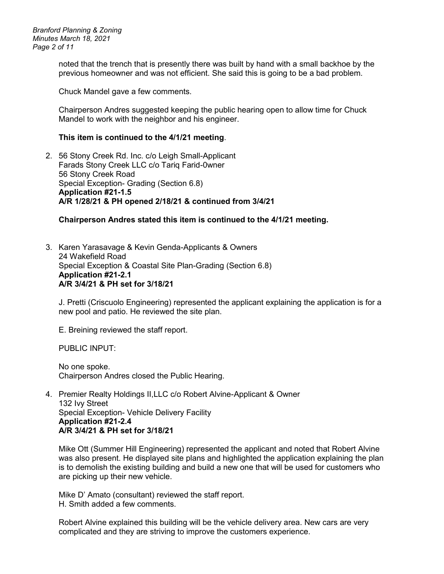*Branford Planning & Zoning Minutes March 18, 2021 Page 2 of 11*

> noted that the trench that is presently there was built by hand with a small backhoe by the previous homeowner and was not efficient. She said this is going to be a bad problem.

Chuck Mandel gave a few comments.

Chairperson Andres suggested keeping the public hearing open to allow time for Chuck Mandel to work with the neighbor and his engineer.

#### **This item is continued to the 4/1/21 meeting**.

2. 56 Stony Creek Rd. Inc. c/o Leigh Small-Applicant Farads Stony Creek LLC c/o Tariq Farid-0wner 56 Stony Creek Road Special Exception- Grading (Section 6.8) **Application #21-1.5 A/R 1/28/21 & PH opened 2/18/21 & continued from 3/4/21**

#### **Chairperson Andres stated this item is continued to the 4/1/21 meeting.**

3. Karen Yarasavage & Kevin Genda-Applicants & Owners 24 Wakefield Road Special Exception & Coastal Site Plan-Grading (Section 6.8) **Application #21-2.1 A/R 3/4/21 & PH set for 3/18/21**

J. Pretti (Criscuolo Engineering) represented the applicant explaining the application is for a new pool and patio. He reviewed the site plan.

E. Breining reviewed the staff report.

PUBLIC INPUT:

No one spoke. Chairperson Andres closed the Public Hearing.

4. Premier Realty Holdings II,LLC c/o Robert Alvine-Applicant & Owner 132 Ivy Street Special Exception- Vehicle Delivery Facility **Application #21-2.4 A/R 3/4/21 & PH set for 3/18/21**

Mike Ott (Summer Hill Engineering) represented the applicant and noted that Robert Alvine was also present. He displayed site plans and highlighted the application explaining the plan is to demolish the existing building and build a new one that will be used for customers who are picking up their new vehicle.

Mike D' Amato (consultant) reviewed the staff report. H. Smith added a few comments.

Robert Alvine explained this building will be the vehicle delivery area. New cars are very complicated and they are striving to improve the customers experience.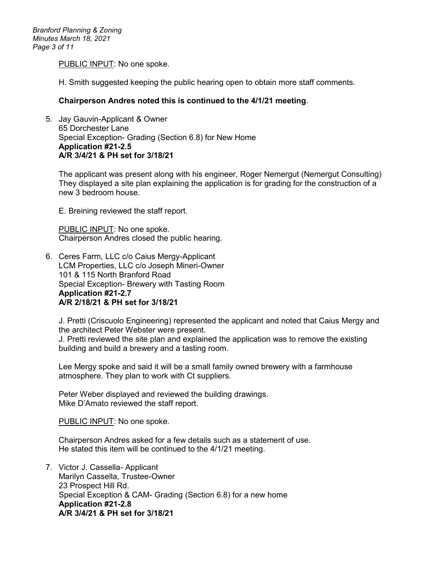PUBLIC INPUT: No one spoke.

H. Smith suggested keeping the public hearing open to obtain more staff comments.

#### **Chairperson Andres noted this is continued to the 4/1/21 meeting**.

5. Jay Gauvin-Applicant & Owner 65 Dorchester Lane Special Exception- Grading (Section 6.8) for New Home **Application #21-2.5 A/R 3/4/21 & PH set for 3/18/21**

The applicant was present along with his engineer, Roger Nemergut (Nemergut Consulting) They displayed a site plan explaining the application is for grading for the construction of a new 3 bedroom house.

E. Breining reviewed the staff report.

PUBLIC INPUT: No one spoke. Chairperson Andres closed the public hearing.

6. Ceres Farm, LLC c/o Caius Mergy-Applicant LCM Properties, LLC c/o Joseph Mineri-Owner 101 & 115 North Branford Road Special Exception- Brewery with Tasting Room **Application #21-2.7 A/R 2/18/21 & PH set for 3/18/21**

J. Pretti (Criscuolo Engineering) represented the applicant and noted that Caius Mergy and the architect Peter Webster were present.

J. Pretti reviewed the site plan and explained the application was to remove the existing building and build a brewery and a tasting room.

Lee Mergy spoke and said it will be a small family owned brewery with a farmhouse atmosphere. They plan to work with Ct suppliers.

Peter Weber displayed and reviewed the building drawings. Mike D'Amato reviewed the staff report.

PUBLIC INPUT: No one spoke.

Chairperson Andres asked for a few details such as a statement of use. He stated this item will be continued to the 4/1/21 meeting.

7. Victor J. Cassella- Applicant Marilyn Cassella, Trustee-Owner 23 Prospect Hill Rd. Special Exception & CAM- Grading (Section 6.8) for a new home **Application #21-2.8 A/R 3/4/21 & PH set for 3/18/21**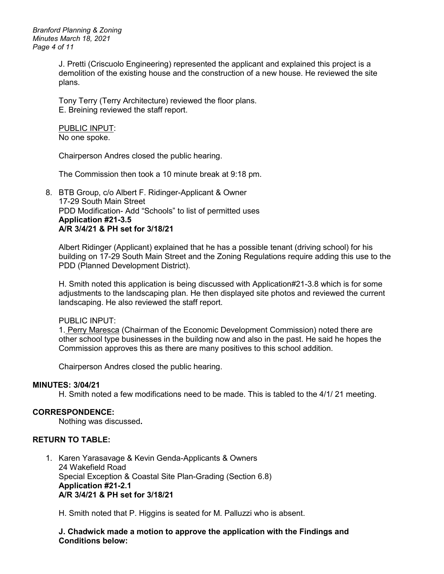*Branford Planning & Zoning Minutes March 18, 2021 Page 4 of 11*

> J. Pretti (Criscuolo Engineering) represented the applicant and explained this project is a demolition of the existing house and the construction of a new house. He reviewed the site plans.

Tony Terry (Terry Architecture) reviewed the floor plans. E. Breining reviewed the staff report.

PUBLIC INPUT: No one spoke.

Chairperson Andres closed the public hearing.

The Commission then took a 10 minute break at 9:18 pm.

8. BTB Group, c/o Albert F. Ridinger-Applicant & Owner 17-29 South Main Street PDD Modification- Add "Schools" to list of permitted uses **Application #21-3.5 A/R 3/4/21 & PH set for 3/18/21**

Albert Ridinger (Applicant) explained that he has a possible tenant (driving school) for his building on 17-29 South Main Street and the Zoning Regulations require adding this use to the PDD (Planned Development District).

H. Smith noted this application is being discussed with Application#21-3.8 which is for some adjustments to the landscaping plan. He then displayed site photos and reviewed the current landscaping. He also reviewed the staff report.

#### PUBLIC INPUT:

1. Perry Maresca (Chairman of the Economic Development Commission) noted there are other school type businesses in the building now and also in the past. He said he hopes the Commission approves this as there are many positives to this school addition.

Chairperson Andres closed the public hearing.

#### **MINUTES: 3/04/21**

H. Smith noted a few modifications need to be made. This is tabled to the 4/1/ 21 meeting.

#### **CORRESPONDENCE:**

Nothing was discussed**.**

#### **RETURN TO TABLE:**

1. Karen Yarasavage & Kevin Genda-Applicants & Owners 24 Wakefield Road Special Exception & Coastal Site Plan-Grading (Section 6.8) **Application #21-2.1 A/R 3/4/21 & PH set for 3/18/21**

H. Smith noted that P. Higgins is seated for M. Palluzzi who is absent.

**J. Chadwick made a motion to approve the application with the Findings and Conditions below:**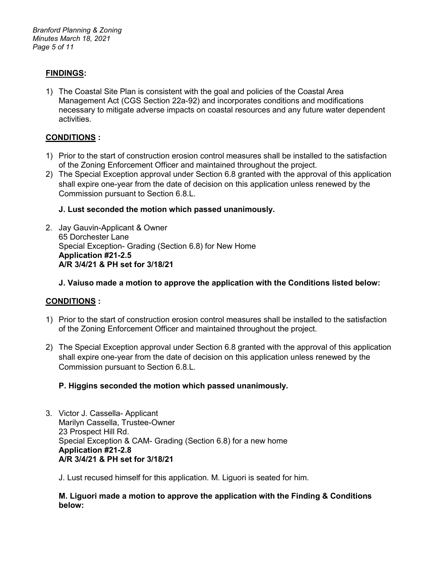*Branford Planning & Zoning Minutes March 18, 2021 Page 5 of 11*

# **FINDINGS:**

1) The Coastal Site Plan is consistent with the goal and policies of the Coastal Area Management Act (CGS Section 22a-92) and incorporates conditions and modifications necessary to mitigate adverse impacts on coastal resources and any future water dependent activities.

# **CONDITIONS :**

- 1) Prior to the start of construction erosion control measures shall be installed to the satisfaction of the Zoning Enforcement Officer and maintained throughout the project.
- 2) The Special Exception approval under Section 6.8 granted with the approval of this application shall expire one-year from the date of decision on this application unless renewed by the Commission pursuant to Section 6.8.L.

# **J. Lust seconded the motion which passed unanimously.**

2. Jay Gauvin-Applicant & Owner 65 Dorchester Lane Special Exception- Grading (Section 6.8) for New Home **Application #21-2.5 A/R 3/4/21 & PH set for 3/18/21**

# **J. Vaiuso made a motion to approve the application with the Conditions listed below:**

# **CONDITIONS :**

- 1) Prior to the start of construction erosion control measures shall be installed to the satisfaction of the Zoning Enforcement Officer and maintained throughout the project.
- 2) The Special Exception approval under Section 6.8 granted with the approval of this application shall expire one-year from the date of decision on this application unless renewed by the Commission pursuant to Section 6.8.L.

# **P. Higgins seconded the motion which passed unanimously.**

- 3. Victor J. Cassella- Applicant Marilyn Cassella, Trustee-Owner 23 Prospect Hill Rd. Special Exception & CAM- Grading (Section 6.8) for a new home **Application #21-2.8 A/R 3/4/21 & PH set for 3/18/21**
	- J. Lust recused himself for this application. M. Liguori is seated for him.

#### **M. Liguori made a motion to approve the application with the Finding & Conditions below:**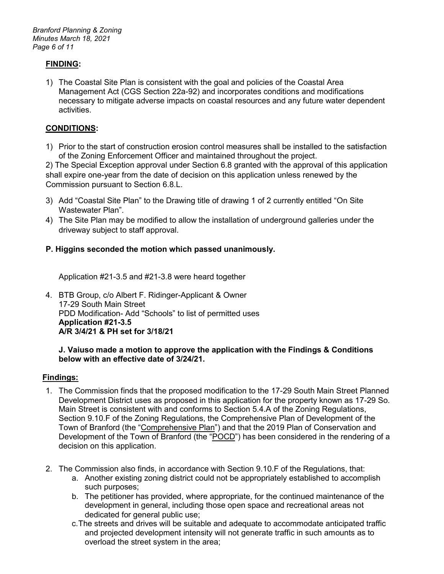*Branford Planning & Zoning Minutes March 18, 2021 Page 6 of 11*

# **FINDING:**

1) The Coastal Site Plan is consistent with the goal and policies of the Coastal Area Management Act (CGS Section 22a-92) and incorporates conditions and modifications necessary to mitigate adverse impacts on coastal resources and any future water dependent activities.

# **CONDITIONS:**

1) Prior to the start of construction erosion control measures shall be installed to the satisfaction of the Zoning Enforcement Officer and maintained throughout the project.

2) The Special Exception approval under Section 6.8 granted with the approval of this application shall expire one-year from the date of decision on this application unless renewed by the Commission pursuant to Section 6.8.L.

- 3) Add "Coastal Site Plan" to the Drawing title of drawing 1 of 2 currently entitled "On Site Wastewater Plan".
- 4) The Site Plan may be modified to allow the installation of underground galleries under the driveway subject to staff approval.

# **P. Higgins seconded the motion which passed unanimously.**

Application #21-3.5 and #21-3.8 were heard together

4. BTB Group, c/o Albert F. Ridinger-Applicant & Owner 17-29 South Main Street PDD Modification- Add "Schools" to list of permitted uses **Application #21-3.5 A/R 3/4/21 & PH set for 3/18/21**

#### **J. Vaiuso made a motion to approve the application with the Findings & Conditions below with an effective date of 3/24/21.**

# **Findings:**

- 1. The Commission finds that the proposed modification to the 17-29 South Main Street Planned Development District uses as proposed in this application for the property known as 17-29 So. Main Street is consistent with and conforms to Section 5.4.A of the Zoning Regulations, Section 9.10.F of the Zoning Regulations, the Comprehensive Plan of Development of the Town of Branford (the "Comprehensive Plan") and that the 2019 Plan of Conservation and Development of the Town of Branford (the "POCD") has been considered in the rendering of a decision on this application.
- 2. The Commission also finds, in accordance with Section 9.10.F of the Regulations, that:
	- a. Another existing zoning district could not be appropriately established to accomplish such purposes;
	- b. The petitioner has provided, where appropriate, for the continued maintenance of the development in general, including those open space and recreational areas not dedicated for general public use;
	- c.The streets and drives will be suitable and adequate to accommodate anticipated traffic and projected development intensity will not generate traffic in such amounts as to overload the street system in the area;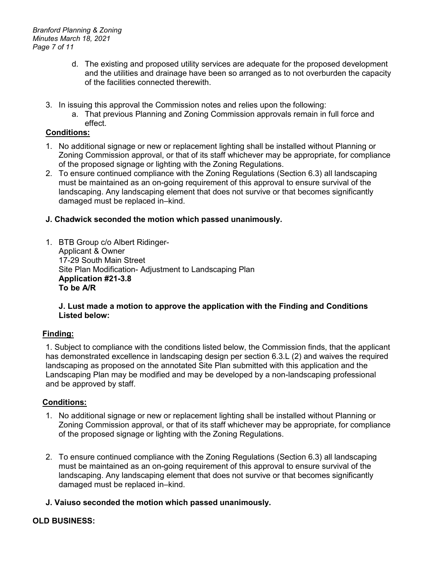*Branford Planning & Zoning Minutes March 18, 2021 Page 7 of 11*

- d. The existing and proposed utility services are adequate for the proposed development and the utilities and drainage have been so arranged as to not overburden the capacity of the facilities connected therewith.
- 3. In issuing this approval the Commission notes and relies upon the following:
	- a. That previous Planning and Zoning Commission approvals remain in full force and effect.

# **Conditions:**

- 1. No additional signage or new or replacement lighting shall be installed without Planning or Zoning Commission approval, or that of its staff whichever may be appropriate, for compliance of the proposed signage or lighting with the Zoning Regulations.
- 2. To ensure continued compliance with the Zoning Regulations (Section 6.3) all landscaping must be maintained as an on-going requirement of this approval to ensure survival of the landscaping. Any landscaping element that does not survive or that becomes significantly damaged must be replaced in–kind.

# **J. Chadwick seconded the motion which passed unanimously.**

1. BTB Group c/o Albert Ridinger-Applicant & Owner 17-29 South Main Street Site Plan Modification- Adjustment to Landscaping Plan **Application #21-3.8 To be A/R** 

# **J. Lust made a motion to approve the application with the Finding and Conditions Listed below:**

# **Finding:**

1. Subject to compliance with the conditions listed below, the Commission finds, that the applicant has demonstrated excellence in landscaping design per section 6.3.L (2) and waives the required landscaping as proposed on the annotated Site Plan submitted with this application and the Landscaping Plan may be modified and may be developed by a non-landscaping professional and be approved by staff.

# **Conditions:**

- 1. No additional signage or new or replacement lighting shall be installed without Planning or Zoning Commission approval, or that of its staff whichever may be appropriate, for compliance of the proposed signage or lighting with the Zoning Regulations.
- 2. To ensure continued compliance with the Zoning Regulations (Section 6.3) all landscaping must be maintained as an on-going requirement of this approval to ensure survival of the landscaping. Any landscaping element that does not survive or that becomes significantly damaged must be replaced in–kind.

# **J. Vaiuso seconded the motion which passed unanimously.**

# **OLD BUSINESS:**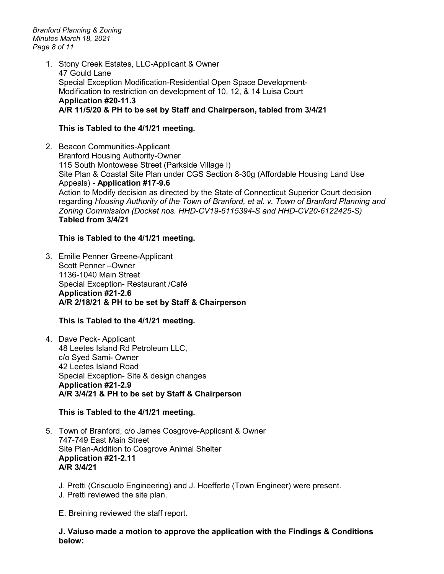*Branford Planning & Zoning Minutes March 18, 2021 Page 8 of 11*

> 1. Stony Creek Estates, LLC-Applicant & Owner 47 Gould Lane Special Exception Modification-Residential Open Space Development-Modification to restriction on development of 10, 12, & 14 Luisa Court **Application #20-11.3 A/R 11/5/20 & PH to be set by Staff and Chairperson, tabled from 3/4/21**

# **This is Tabled to the 4/1/21 meeting.**

2. Beacon Communities-Applicant Branford Housing Authority-Owner 115 South Montowese Street (Parkside Village I) Site Plan & Coastal Site Plan under CGS Section 8-30g (Affordable Housing Land Use Appeals) **- Application #17-9.6** Action to Modify decision as directed by the State of Connecticut Superior Court decision regarding *Housing Authority of the Town of Branford, et al. v. Town of Branford Planning and Zoning Commission (Docket nos. HHD-CV19-6115394-S and HHD-CV20-6122425-S)* **Tabled from 3/4/21**

# **This is Tabled to the 4/1/21 meeting.**

3. Emilie Penner Greene-Applicant Scott Penner –Owner 1136-1040 Main Street Special Exception- Restaurant /Café **Application #21-2.6 A/R 2/18/21 & PH to be set by Staff & Chairperson**

# **This is Tabled to the 4/1/21 meeting.**

4. Dave Peck- Applicant 48 Leetes Island Rd Petroleum LLC, c/o Syed Sami- Owner 42 Leetes Island Road Special Exception- Site & design changes **Application #21-2.9 A/R 3/4/21 & PH to be set by Staff & Chairperson**

# **This is Tabled to the 4/1/21 meeting.**

- 5. Town of Branford, c/o James Cosgrove-Applicant & Owner 747-749 East Main Street Site Plan-Addition to Cosgrove Animal Shelter **Application #21-2.11 A/R 3/4/21**
	- J. Pretti (Criscuolo Engineering) and J. Hoefferle (Town Engineer) were present.
	- J. Pretti reviewed the site plan.

E. Breining reviewed the staff report.

**J. Vaiuso made a motion to approve the application with the Findings & Conditions below:**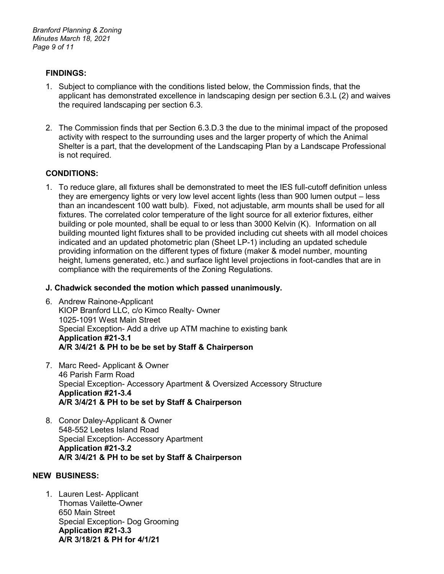#### **FINDINGS:**

- 1. Subject to compliance with the conditions listed below, the Commission finds, that the applicant has demonstrated excellence in landscaping design per section 6.3.L (2) and waives the required landscaping per section 6.3.
- 2. The Commission finds that per Section 6.3.D.3 the due to the minimal impact of the proposed activity with respect to the surrounding uses and the larger property of which the Animal Shelter is a part, that the development of the Landscaping Plan by a Landscape Professional is not required.

# **CONDITIONS:**

1. To reduce glare, all fixtures shall be demonstrated to meet the IES full-cutoff definition unless they are emergency lights or very low level accent lights (less than 900 lumen output – less than an incandescent 100 watt bulb). Fixed, not adjustable, arm mounts shall be used for all fixtures. The correlated color temperature of the light source for all exterior fixtures, either building or pole mounted, shall be equal to or less than 3000 Kelvin (K). Information on all building mounted light fixtures shall to be provided including cut sheets with all model choices indicated and an updated photometric plan (Sheet LP-1) including an updated schedule providing information on the different types of fixture (maker & model number, mounting height, lumens generated, etc.) and surface light level projections in foot-candles that are in compliance with the requirements of the Zoning Regulations.

#### **J. Chadwick seconded the motion which passed unanimously.**

- 6. Andrew Rainone-Applicant KIOP Branford LLC, c/o Kimco Realty- Owner 1025-1091 West Main Street Special Exception- Add a drive up ATM machine to existing bank **Application #21-3.1 A/R 3/4/21 & PH to be be set by Staff & Chairperson**
- 7. Marc Reed- Applicant & Owner 46 Parish Farm Road Special Exception- Accessory Apartment & Oversized Accessory Structure **Application #21-3.4 A/R 3/4/21 & PH to be set by Staff & Chairperson**
- 8. Conor Daley-Applicant & Owner 548-552 Leetes Island Road Special Exception- Accessory Apartment **Application #21-3.2 A/R 3/4/21 & PH to be set by Staff & Chairperson**

# **NEW BUSINESS:**

1. Lauren Lest- Applicant Thomas Vailette-Owner 650 Main Street Special Exception- Dog Grooming **Application #21-3.3 A/R 3/18/21 & PH for 4/1/21**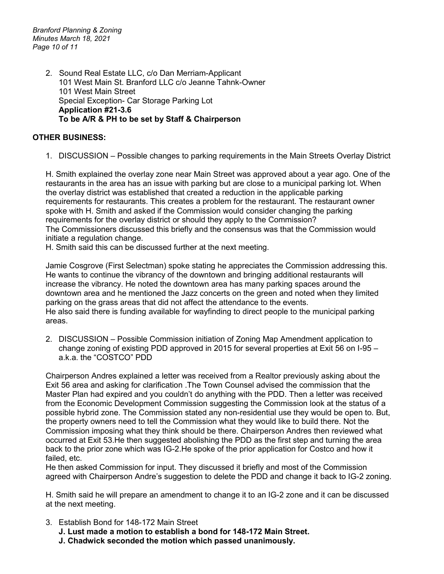*Branford Planning & Zoning Minutes March 18, 2021 Page 10 of 11*

> 2. Sound Real Estate LLC, c/o Dan Merriam-Applicant 101 West Main St. Branford LLC c/o Jeanne Tahnk-Owner 101 West Main Street Special Exception- Car Storage Parking Lot **Application #21-3.6 To be A/R & PH to be set by Staff & Chairperson**

# **OTHER BUSINESS:**

1. DISCUSSION – Possible changes to parking requirements in the Main Streets Overlay District

H. Smith explained the overlay zone near Main Street was approved about a year ago. One of the restaurants in the area has an issue with parking but are close to a municipal parking lot. When the overlay district was established that created a reduction in the applicable parking requirements for restaurants. This creates a problem for the restaurant. The restaurant owner spoke with H. Smith and asked if the Commission would consider changing the parking requirements for the overlay district or should they apply to the Commission? The Commissioners discussed this briefly and the consensus was that the Commission would initiate a regulation change.

H. Smith said this can be discussed further at the next meeting.

Jamie Cosgrove (First Selectman) spoke stating he appreciates the Commission addressing this. He wants to continue the vibrancy of the downtown and bringing additional restaurants will increase the vibrancy. He noted the downtown area has many parking spaces around the downtown area and he mentioned the Jazz concerts on the green and noted when they limited parking on the grass areas that did not affect the attendance to the events. He also said there is funding available for wayfinding to direct people to the municipal parking areas.

2. DISCUSSION – Possible Commission initiation of Zoning Map Amendment application to change zoning of existing PDD approved in 2015 for several properties at Exit 56 on I-95 – a.k.a. the "COSTCO" PDD

Chairperson Andres explained a letter was received from a Realtor previously asking about the Exit 56 area and asking for clarification .The Town Counsel advised the commission that the Master Plan had expired and you couldn't do anything with the PDD. Then a letter was received from the Economic Development Commission suggesting the Commission look at the status of a possible hybrid zone. The Commission stated any non-residential use they would be open to. But, the property owners need to tell the Commission what they would like to build there. Not the Commission imposing what they think should be there. Chairperson Andres then reviewed what occurred at Exit 53.He then suggested abolishing the PDD as the first step and turning the area back to the prior zone which was IG-2.He spoke of the prior application for Costco and how it failed, etc.

He then asked Commission for input. They discussed it briefly and most of the Commission agreed with Chairperson Andre's suggestion to delete the PDD and change it back to IG-2 zoning.

H. Smith said he will prepare an amendment to change it to an IG-2 zone and it can be discussed at the next meeting.

- 3. Establish Bond for 148-172 Main Street
	- **J. Lust made a motion to establish a bond for 148-172 Main Street.**
	- **J. Chadwick seconded the motion which passed unanimously.**